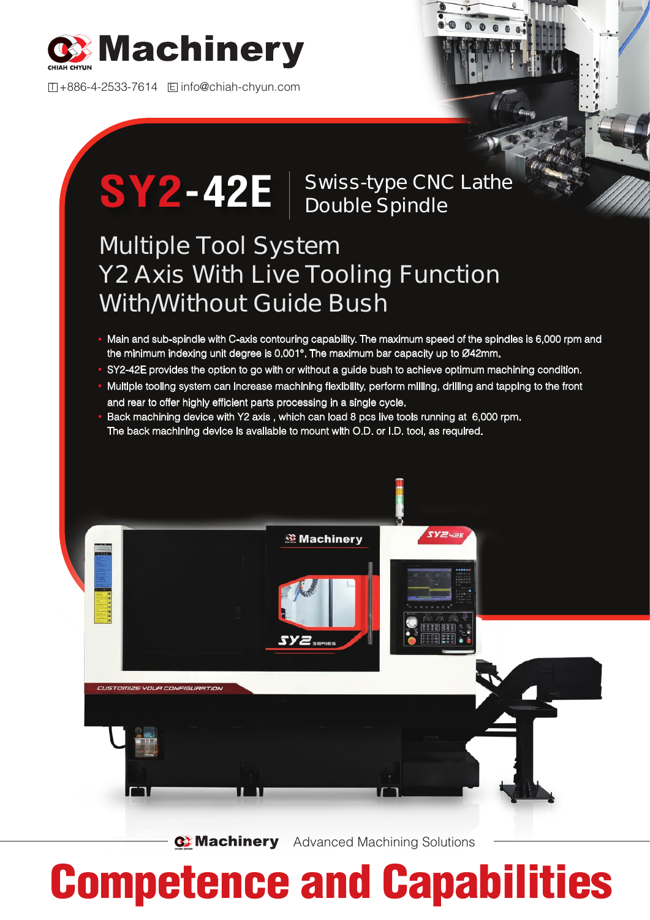

T +886-4-2533-7614 E info@chiah-chyun.com

## **SY2-42E** | Swiss-type CNC Lathe **Double Spindle**

## **Multiple Tool System Y2 Axis With Live Tooling Function With/Without Guide Bush**

- Main and sub-spindle with C-axis contouring capability. The maximum speed of the spindles is 6,000 rpm and the minimum indexing unit degree is 0.001°. The maximum bar capacity up to Ø42mm.
- SY2-42E provides the option to go with or without a guide bush to achieve optimum machining condition.
- Multiple tooling system can increase machining flexibility, perform milling, drilling and tapping to the front and rear to offer highly efficient parts processing in a single cycle.
- Back machining device with Y2 axis , which can load 8 pcs live tools running at 6,000 rpm. The back machining device is available to mount with O.D. or I.D. tool, as required.



**Machinery** Advanced Machining Solutions

## Competence and Capabilities